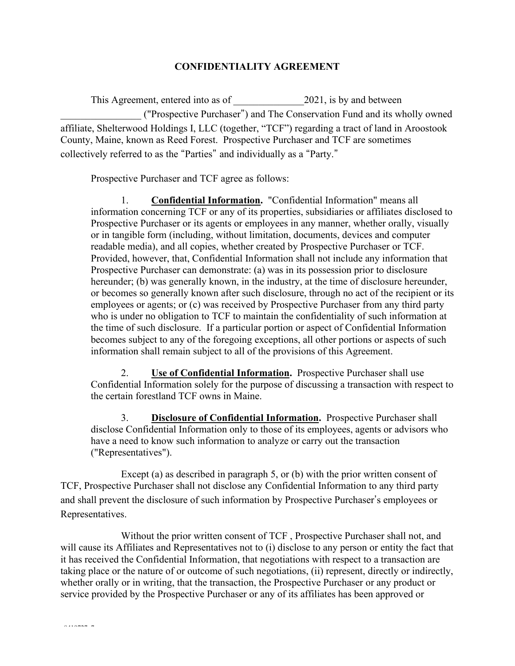## **CONFIDENTIALITY AGREEMENT**

This Agreement, entered into as of 2021, is by and between \_\_\_\_\_\_\_\_\_\_\_\_\_\_\_\_ ("Prospective Purchaser") and The Conservation Fund and its wholly owned affiliate, Shelterwood Holdings I, LLC (together, "TCF") regarding a tract of land in Aroostook County, Maine, known as Reed Forest. Prospective Purchaser and TCF are sometimes collectively referred to as the "Parties" and individually as a "Party."

Prospective Purchaser and TCF agree as follows:

1. **Confidential Information.** "Confidential Information" means all information concerning TCF or any of its properties, subsidiaries or affiliates disclosed to Prospective Purchaser or its agents or employees in any manner, whether orally, visually or in tangible form (including, without limitation, documents, devices and computer readable media), and all copies, whether created by Prospective Purchaser or TCF. Provided, however, that, Confidential Information shall not include any information that Prospective Purchaser can demonstrate: (a) was in its possession prior to disclosure hereunder; (b) was generally known, in the industry, at the time of disclosure hereunder, or becomes so generally known after such disclosure, through no act of the recipient or its employees or agents; or (c) was received by Prospective Purchaser from any third party who is under no obligation to TCF to maintain the confidentiality of such information at the time of such disclosure. If a particular portion or aspect of Confidential Information becomes subject to any of the foregoing exceptions, all other portions or aspects of such information shall remain subject to all of the provisions of this Agreement.

2. **Use of Confidential Information.** Prospective Purchaser shall use Confidential Information solely for the purpose of discussing a transaction with respect to the certain forestland TCF owns in Maine.

3. **Disclosure of Confidential Information.** Prospective Purchaser shall disclose Confidential Information only to those of its employees, agents or advisors who have a need to know such information to analyze or carry out the transaction ("Representatives").

Except (a) as described in paragraph 5, or (b) with the prior written consent of TCF, Prospective Purchaser shall not disclose any Confidential Information to any third party and shall prevent the disclosure of such information by Prospective Purchaser's employees or Representatives.

Without the prior written consent of TCF , Prospective Purchaser shall not, and will cause its Affiliates and Representatives not to (i) disclose to any person or entity the fact that it has received the Confidential Information, that negotiations with respect to a transaction are taking place or the nature of or outcome of such negotiations, (ii) represent, directly or indirectly, whether orally or in writing, that the transaction, the Prospective Purchaser or any product or service provided by the Prospective Purchaser or any of its affiliates has been approved or

8*4*19727 7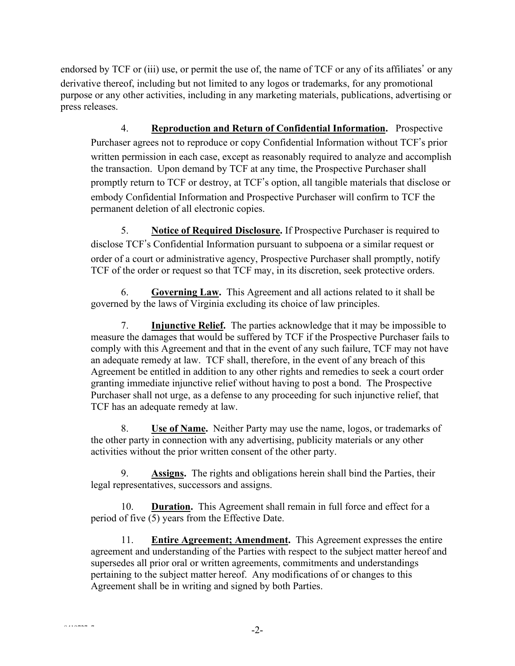endorsed by TCF or (iii) use, or permit the use of, the name of TCF or any of its affiliates' or any derivative thereof, including but not limited to any logos or trademarks, for any promotional purpose or any other activities, including in any marketing materials, publications, advertising or press releases.

4. **Reproduction and Return of Confidential Information.** Prospective Purchaser agrees not to reproduce or copy Confidential Information without TCF's prior written permission in each case, except as reasonably required to analyze and accomplish the transaction. Upon demand by TCF at any time, the Prospective Purchaser shall promptly return to TCF or destroy, at TCF's option, all tangible materials that disclose or embody Confidential Information and Prospective Purchaser will confirm to TCF the permanent deletion of all electronic copies.

5. **Notice of Required Disclosure.** If Prospective Purchaser is required to disclose TCF's Confidential Information pursuant to subpoena or a similar request or order of a court or administrative agency, Prospective Purchaser shall promptly, notify TCF of the order or request so that TCF may, in its discretion, seek protective orders.

6. **Governing Law.** This Agreement and all actions related to it shall be governed by the laws of Virginia excluding its choice of law principles.

7. **Injunctive Relief.** The parties acknowledge that it may be impossible to measure the damages that would be suffered by TCF if the Prospective Purchaser fails to comply with this Agreement and that in the event of any such failure, TCF may not have an adequate remedy at law. TCF shall, therefore, in the event of any breach of this Agreement be entitled in addition to any other rights and remedies to seek a court order granting immediate injunctive relief without having to post a bond. The Prospective Purchaser shall not urge, as a defense to any proceeding for such injunctive relief, that TCF has an adequate remedy at law.

8. **Use of Name.** Neither Party may use the name, logos, or trademarks of the other party in connection with any advertising, publicity materials or any other activities without the prior written consent of the other party.

9. **Assigns.** The rights and obligations herein shall bind the Parties, their legal representatives, successors and assigns.

10. **Duration.** This Agreement shall remain in full force and effect for a period of five (5) years from the Effective Date.

11. **Entire Agreement; Amendment.** This Agreement expresses the entire agreement and understanding of the Parties with respect to the subject matter hereof and supersedes all prior oral or written agreements, commitments and understandings pertaining to the subject matter hereof. Any modifications of or changes to this Agreement shall be in writing and signed by both Parties.